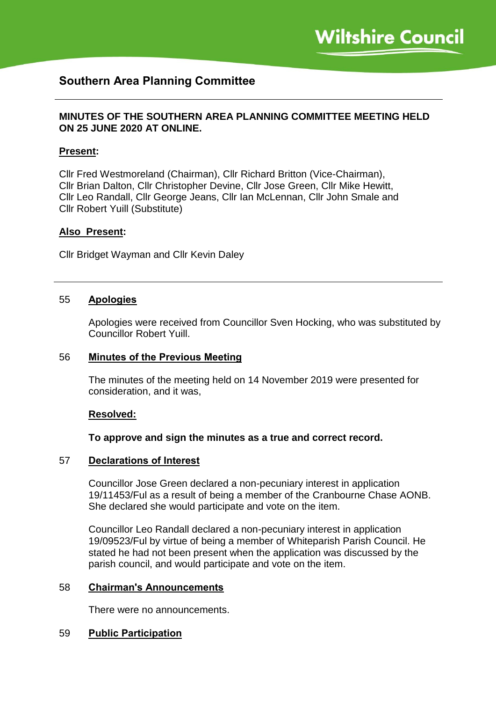# **Southern Area Planning Committee**

## **MINUTES OF THE SOUTHERN AREA PLANNING COMMITTEE MEETING HELD ON 25 JUNE 2020 AT ONLINE.**

### **Present:**

Cllr Fred Westmoreland (Chairman), Cllr Richard Britton (Vice-Chairman), Cllr Brian Dalton, Cllr Christopher Devine, Cllr Jose Green, Cllr Mike Hewitt, Cllr Leo Randall, Cllr George Jeans, Cllr Ian McLennan, Cllr John Smale and Cllr Robert Yuill (Substitute)

#### **Also Present:**

Cllr Bridget Wayman and Cllr Kevin Daley

#### 55 **Apologies**

Apologies were received from Councillor Sven Hocking, who was substituted by Councillor Robert Yuill.

#### 56 **Minutes of the Previous Meeting**

The minutes of the meeting held on 14 November 2019 were presented for consideration, and it was,

#### **Resolved:**

#### **To approve and sign the minutes as a true and correct record.**

#### 57 **Declarations of Interest**

Councillor Jose Green declared a non-pecuniary interest in application 19/11453/Ful as a result of being a member of the Cranbourne Chase AONB. She declared she would participate and vote on the item.

Councillor Leo Randall declared a non-pecuniary interest in application 19/09523/Ful by virtue of being a member of Whiteparish Parish Council. He stated he had not been present when the application was discussed by the parish council, and would participate and vote on the item.

#### 58 **Chairman's Announcements**

There were no announcements.

#### 59 **Public Participation**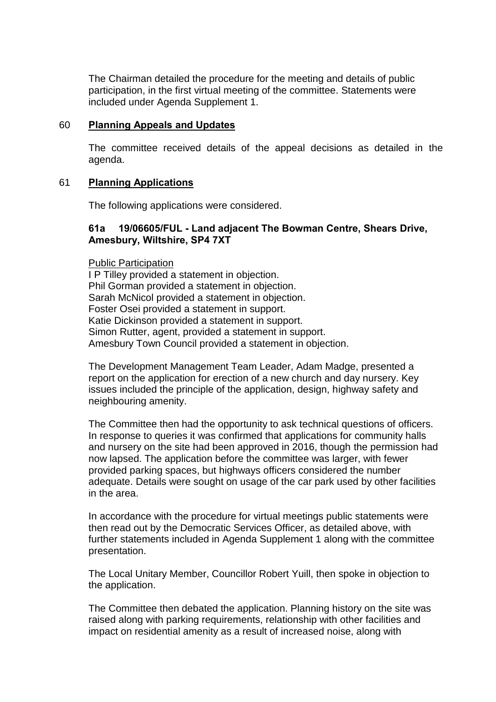The Chairman detailed the procedure for the meeting and details of public participation, in the first virtual meeting of the committee. Statements were included under Agenda Supplement 1.

### 60 **Planning Appeals and Updates**

The committee received details of the appeal decisions as detailed in the agenda.

### 61 **Planning Applications**

The following applications were considered.

# **61a 19/06605/FUL - Land adjacent The Bowman Centre, Shears Drive, Amesbury, Wiltshire, SP4 7XT**

Public Participation I P Tilley provided a statement in objection. Phil Gorman provided a statement in objection. Sarah McNicol provided a statement in objection. Foster Osei provided a statement in support. Katie Dickinson provided a statement in support. Simon Rutter, agent, provided a statement in support. Amesbury Town Council provided a statement in objection.

The Development Management Team Leader, Adam Madge, presented a report on the application for erection of a new church and day nursery. Key issues included the principle of the application, design, highway safety and neighbouring amenity.

The Committee then had the opportunity to ask technical questions of officers. In response to queries it was confirmed that applications for community halls and nursery on the site had been approved in 2016, though the permission had now lapsed. The application before the committee was larger, with fewer provided parking spaces, but highways officers considered the number adequate. Details were sought on usage of the car park used by other facilities in the area.

In accordance with the procedure for virtual meetings public statements were then read out by the Democratic Services Officer, as detailed above, with further statements included in Agenda Supplement 1 along with the committee presentation.

The Local Unitary Member, Councillor Robert Yuill, then spoke in objection to the application.

The Committee then debated the application. Planning history on the site was raised along with parking requirements, relationship with other facilities and impact on residential amenity as a result of increased noise, along with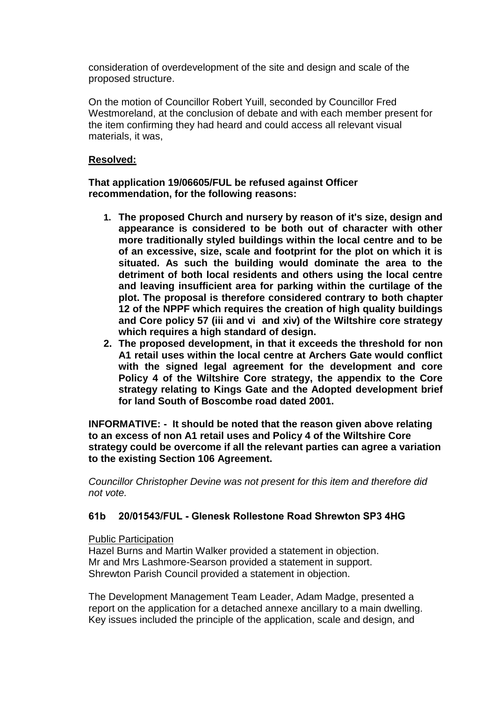consideration of overdevelopment of the site and design and scale of the proposed structure.

On the motion of Councillor Robert Yuill, seconded by Councillor Fred Westmoreland, at the conclusion of debate and with each member present for the item confirming they had heard and could access all relevant visual materials, it was,

# **Resolved:**

**That application 19/06605/FUL be refused against Officer recommendation, for the following reasons:**

- **1. The proposed Church and nursery by reason of it's size, design and appearance is considered to be both out of character with other more traditionally styled buildings within the local centre and to be of an excessive, size, scale and footprint for the plot on which it is situated. As such the building would dominate the area to the detriment of both local residents and others using the local centre and leaving insufficient area for parking within the curtilage of the plot. The proposal is therefore considered contrary to both chapter 12 of the NPPF which requires the creation of high quality buildings and Core policy 57 (iii and vi and xiv) of the Wiltshire core strategy which requires a high standard of design.**
- **2. The proposed development, in that it exceeds the threshold for non A1 retail uses within the local centre at Archers Gate would conflict with the signed legal agreement for the development and core Policy 4 of the Wiltshire Core strategy, the appendix to the Core strategy relating to Kings Gate and the Adopted development brief for land South of Boscombe road dated 2001.**

**INFORMATIVE: - It should be noted that the reason given above relating to an excess of non A1 retail uses and Policy 4 of the Wiltshire Core strategy could be overcome if all the relevant parties can agree a variation to the existing Section 106 Agreement.**

*Councillor Christopher Devine was not present for this item and therefore did not vote.*

# **61b 20/01543/FUL - Glenesk Rollestone Road Shrewton SP3 4HG**

#### Public Participation

Hazel Burns and Martin Walker provided a statement in objection. Mr and Mrs Lashmore-Searson provided a statement in support. Shrewton Parish Council provided a statement in objection.

The Development Management Team Leader, Adam Madge, presented a report on the application for a detached annexe ancillary to a main dwelling. Key issues included the principle of the application, scale and design, and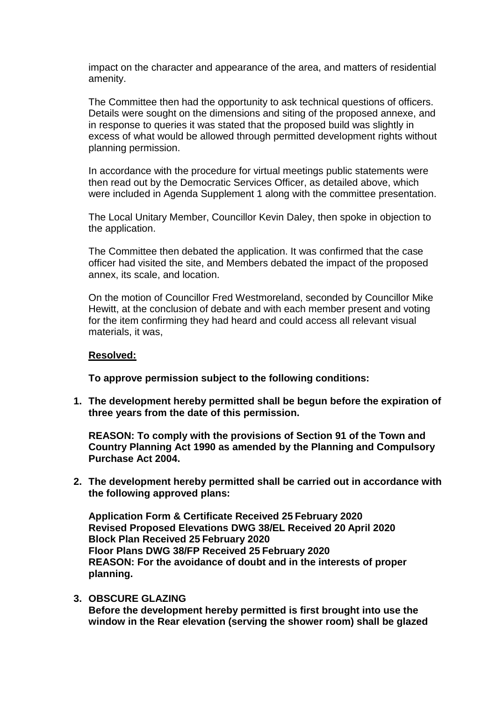impact on the character and appearance of the area, and matters of residential amenity.

The Committee then had the opportunity to ask technical questions of officers. Details were sought on the dimensions and siting of the proposed annexe, and in response to queries it was stated that the proposed build was slightly in excess of what would be allowed through permitted development rights without planning permission.

In accordance with the procedure for virtual meetings public statements were then read out by the Democratic Services Officer, as detailed above, which were included in Agenda Supplement 1 along with the committee presentation.

The Local Unitary Member, Councillor Kevin Daley, then spoke in objection to the application.

The Committee then debated the application. It was confirmed that the case officer had visited the site, and Members debated the impact of the proposed annex, its scale, and location.

On the motion of Councillor Fred Westmoreland, seconded by Councillor Mike Hewitt, at the conclusion of debate and with each member present and voting for the item confirming they had heard and could access all relevant visual materials, it was,

#### **Resolved:**

**To approve permission subject to the following conditions:**

**1. The development hereby permitted shall be begun before the expiration of three years from the date of this permission.**

**REASON: To comply with the provisions of Section 91 of the Town and Country Planning Act 1990 as amended by the Planning and Compulsory Purchase Act 2004.**

**2. The development hereby permitted shall be carried out in accordance with the following approved plans:**

**Application Form & Certificate Received 25 February 2020 Revised Proposed Elevations DWG 38/EL Received 20 April 2020 Block Plan Received 25 February 2020 Floor Plans DWG 38/FP Received 25 February 2020 REASON: For the avoidance of doubt and in the interests of proper planning.**

**3. OBSCURE GLAZING Before the development hereby permitted is first brought into use the window in the Rear elevation (serving the shower room) shall be glazed**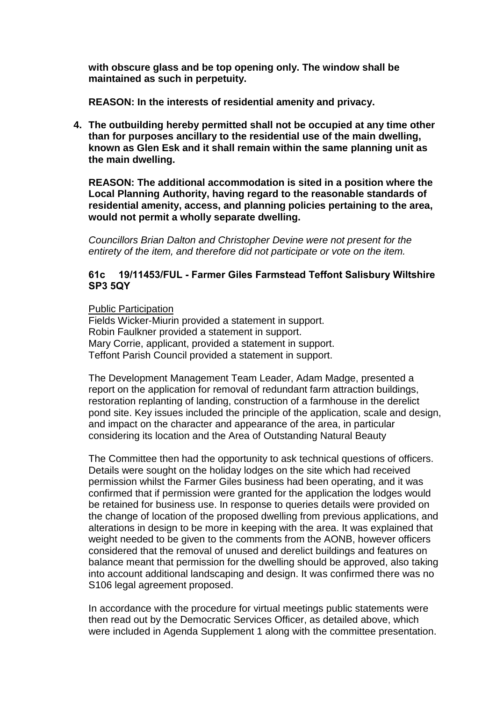**with obscure glass and be top opening only. The window shall be maintained as such in perpetuity.**

**REASON: In the interests of residential amenity and privacy.**

**4. The outbuilding hereby permitted shall not be occupied at any time other than for purposes ancillary to the residential use of the main dwelling, known as Glen Esk and it shall remain within the same planning unit as the main dwelling.**

**REASON: The additional accommodation is sited in a position where the Local Planning Authority, having regard to the reasonable standards of residential amenity, access, and planning policies pertaining to the area, would not permit a wholly separate dwelling.**

*Councillors Brian Dalton and Christopher Devine were not present for the entirety of the item, and therefore did not participate or vote on the item.*

# **61c 19/11453/FUL - Farmer Giles Farmstead Teffont Salisbury Wiltshire SP3 5QY**

Public Participation

Fields Wicker-Miurin provided a statement in support. Robin Faulkner provided a statement in support. Mary Corrie, applicant, provided a statement in support. Teffont Parish Council provided a statement in support.

The Development Management Team Leader, Adam Madge, presented a report on the application for removal of redundant farm attraction buildings, restoration replanting of landing, construction of a farmhouse in the derelict pond site. Key issues included the principle of the application, scale and design, and impact on the character and appearance of the area, in particular considering its location and the Area of Outstanding Natural Beauty

The Committee then had the opportunity to ask technical questions of officers. Details were sought on the holiday lodges on the site which had received permission whilst the Farmer Giles business had been operating, and it was confirmed that if permission were granted for the application the lodges would be retained for business use. In response to queries details were provided on the change of location of the proposed dwelling from previous applications, and alterations in design to be more in keeping with the area. It was explained that weight needed to be given to the comments from the AONB, however officers considered that the removal of unused and derelict buildings and features on balance meant that permission for the dwelling should be approved, also taking into account additional landscaping and design. It was confirmed there was no S106 legal agreement proposed.

In accordance with the procedure for virtual meetings public statements were then read out by the Democratic Services Officer, as detailed above, which were included in Agenda Supplement 1 along with the committee presentation.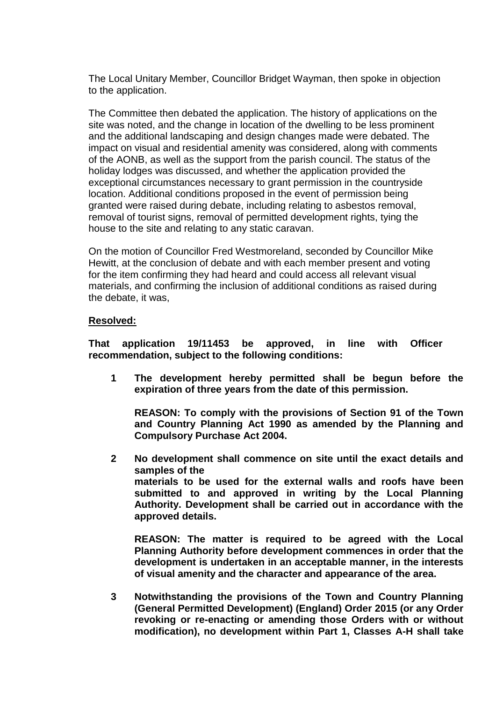The Local Unitary Member, Councillor Bridget Wayman, then spoke in objection to the application.

The Committee then debated the application. The history of applications on the site was noted, and the change in location of the dwelling to be less prominent and the additional landscaping and design changes made were debated. The impact on visual and residential amenity was considered, along with comments of the AONB, as well as the support from the parish council. The status of the holiday lodges was discussed, and whether the application provided the exceptional circumstances necessary to grant permission in the countryside location. Additional conditions proposed in the event of permission being granted were raised during debate, including relating to asbestos removal, removal of tourist signs, removal of permitted development rights, tying the house to the site and relating to any static caravan.

On the motion of Councillor Fred Westmoreland, seconded by Councillor Mike Hewitt, at the conclusion of debate and with each member present and voting for the item confirming they had heard and could access all relevant visual materials, and confirming the inclusion of additional conditions as raised during the debate, it was,

### **Resolved:**

**That application 19/11453 be approved, in line with Officer recommendation, subject to the following conditions:**

**1 The development hereby permitted shall be begun before the expiration of three years from the date of this permission.**

**REASON: To comply with the provisions of Section 91 of the Town and Country Planning Act 1990 as amended by the Planning and Compulsory Purchase Act 2004.**

**2 No development shall commence on site until the exact details and samples of the materials to be used for the external walls and roofs have been submitted to and approved in writing by the Local Planning Authority. Development shall be carried out in accordance with the approved details.**

**REASON: The matter is required to be agreed with the Local Planning Authority before development commences in order that the development is undertaken in an acceptable manner, in the interests of visual amenity and the character and appearance of the area.**

**3 Notwithstanding the provisions of the Town and Country Planning (General Permitted Development) (England) Order 2015 (or any Order revoking or re-enacting or amending those Orders with or without modification), no development within Part 1, Classes A-H shall take**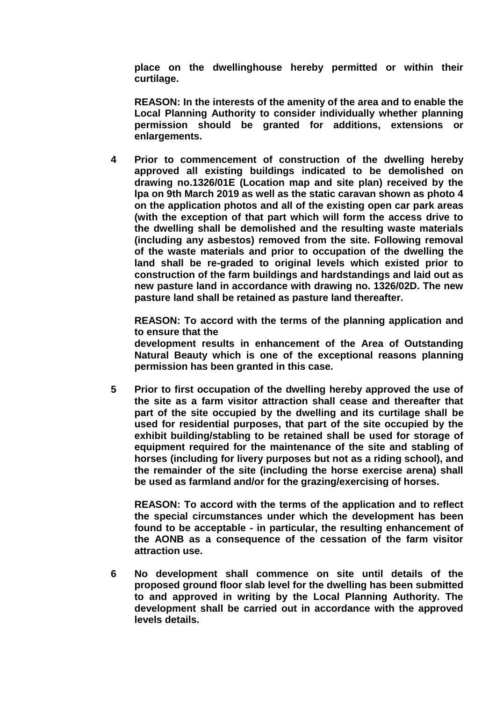**place on the dwellinghouse hereby permitted or within their curtilage.**

**REASON: In the interests of the amenity of the area and to enable the Local Planning Authority to consider individually whether planning permission should be granted for additions, extensions or enlargements.**

**4 Prior to commencement of construction of the dwelling hereby approved all existing buildings indicated to be demolished on drawing no.1326/01E (Location map and site plan) received by the lpa on 9th March 2019 as well as the static caravan shown as photo 4 on the application photos and all of the existing open car park areas (with the exception of that part which will form the access drive to the dwelling shall be demolished and the resulting waste materials (including any asbestos) removed from the site. Following removal of the waste materials and prior to occupation of the dwelling the land shall be re-graded to original levels which existed prior to construction of the farm buildings and hardstandings and laid out as new pasture land in accordance with drawing no. 1326/02D. The new pasture land shall be retained as pasture land thereafter.**

**REASON: To accord with the terms of the planning application and to ensure that the**

**development results in enhancement of the Area of Outstanding Natural Beauty which is one of the exceptional reasons planning permission has been granted in this case.**

**5 Prior to first occupation of the dwelling hereby approved the use of the site as a farm visitor attraction shall cease and thereafter that part of the site occupied by the dwelling and its curtilage shall be used for residential purposes, that part of the site occupied by the exhibit building/stabling to be retained shall be used for storage of equipment required for the maintenance of the site and stabling of horses (including for livery purposes but not as a riding school), and the remainder of the site (including the horse exercise arena) shall be used as farmland and/or for the grazing/exercising of horses.**

**REASON: To accord with the terms of the application and to reflect the special circumstances under which the development has been found to be acceptable - in particular, the resulting enhancement of the AONB as a consequence of the cessation of the farm visitor attraction use.**

**6 No development shall commence on site until details of the proposed ground floor slab level for the dwelling has been submitted to and approved in writing by the Local Planning Authority. The development shall be carried out in accordance with the approved levels details.**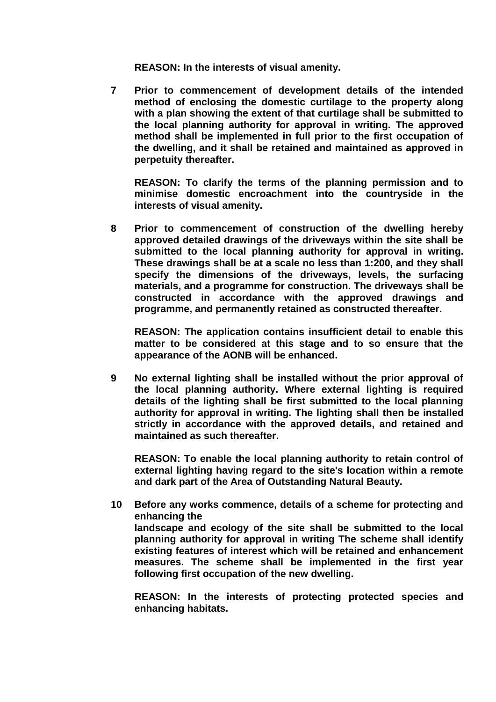**REASON: In the interests of visual amenity.**

**7 Prior to commencement of development details of the intended method of enclosing the domestic curtilage to the property along with a plan showing the extent of that curtilage shall be submitted to the local planning authority for approval in writing. The approved method shall be implemented in full prior to the first occupation of the dwelling, and it shall be retained and maintained as approved in perpetuity thereafter.**

**REASON: To clarify the terms of the planning permission and to minimise domestic encroachment into the countryside in the interests of visual amenity.**

**8 Prior to commencement of construction of the dwelling hereby approved detailed drawings of the driveways within the site shall be submitted to the local planning authority for approval in writing. These drawings shall be at a scale no less than 1:200, and they shall specify the dimensions of the driveways, levels, the surfacing materials, and a programme for construction. The driveways shall be constructed in accordance with the approved drawings and programme, and permanently retained as constructed thereafter.**

**REASON: The application contains insufficient detail to enable this matter to be considered at this stage and to so ensure that the appearance of the AONB will be enhanced.**

**9 No external lighting shall be installed without the prior approval of the local planning authority. Where external lighting is required details of the lighting shall be first submitted to the local planning authority for approval in writing. The lighting shall then be installed strictly in accordance with the approved details, and retained and maintained as such thereafter.**

**REASON: To enable the local planning authority to retain control of external lighting having regard to the site's location within a remote and dark part of the Area of Outstanding Natural Beauty.**

**10 Before any works commence, details of a scheme for protecting and enhancing the landscape and ecology of the site shall be submitted to the local planning authority for approval in writing The scheme shall identify existing features of interest which will be retained and enhancement measures. The scheme shall be implemented in the first year following first occupation of the new dwelling.**

**REASON: In the interests of protecting protected species and enhancing habitats.**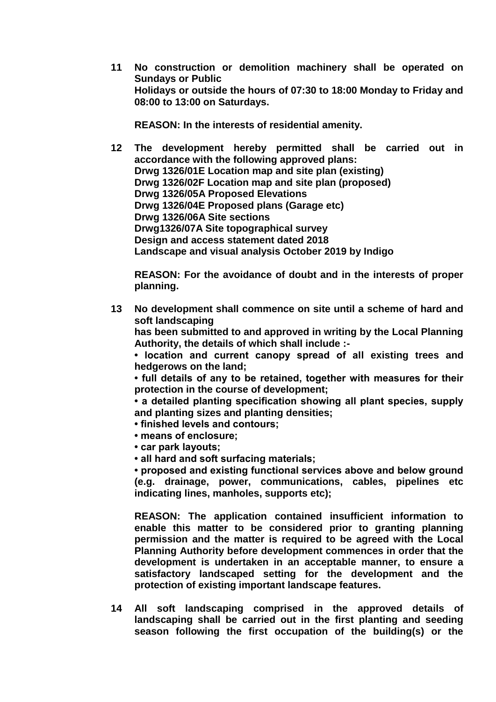**11 No construction or demolition machinery shall be operated on Sundays or Public Holidays or outside the hours of 07:30 to 18:00 Monday to Friday and 08:00 to 13:00 on Saturdays.**

**REASON: In the interests of residential amenity.**

**12 The development hereby permitted shall be carried out in accordance with the following approved plans: Drwg 1326/01E Location map and site plan (existing) Drwg 1326/02F Location map and site plan (proposed) Drwg 1326/05A Proposed Elevations Drwg 1326/04E Proposed plans (Garage etc) Drwg 1326/06A Site sections Drwg1326/07A Site topographical survey Design and access statement dated 2018 Landscape and visual analysis October 2019 by Indigo**

**REASON: For the avoidance of doubt and in the interests of proper planning.**

**13 No development shall commence on site until a scheme of hard and soft landscaping**

**has been submitted to and approved in writing by the Local Planning Authority, the details of which shall include :-**

**• location and current canopy spread of all existing trees and hedgerows on the land;**

**• full details of any to be retained, together with measures for their protection in the course of development;**

**• a detailed planting specification showing all plant species, supply and planting sizes and planting densities;**

- **finished levels and contours;**
- **means of enclosure;**
- **car park layouts;**
- **all hard and soft surfacing materials;**

**• proposed and existing functional services above and below ground (e.g. drainage, power, communications, cables, pipelines etc indicating lines, manholes, supports etc);**

**REASON: The application contained insufficient information to enable this matter to be considered prior to granting planning permission and the matter is required to be agreed with the Local Planning Authority before development commences in order that the development is undertaken in an acceptable manner, to ensure a satisfactory landscaped setting for the development and the protection of existing important landscape features.**

**14 All soft landscaping comprised in the approved details of landscaping shall be carried out in the first planting and seeding season following the first occupation of the building(s) or the**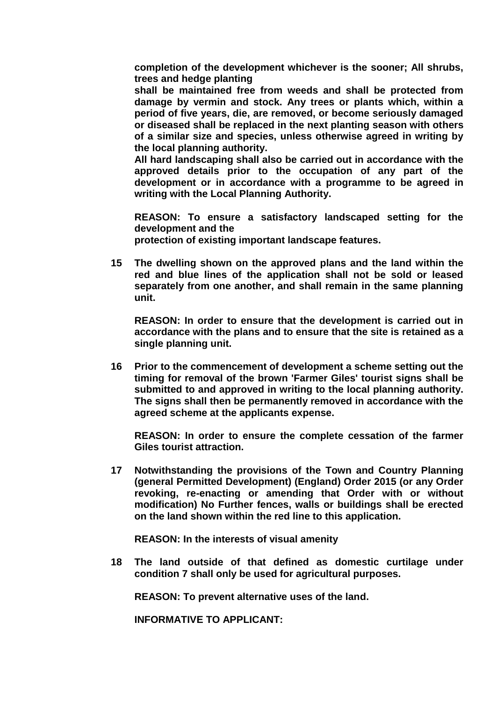**completion of the development whichever is the sooner; All shrubs, trees and hedge planting**

**shall be maintained free from weeds and shall be protected from damage by vermin and stock. Any trees or plants which, within a period of five years, die, are removed, or become seriously damaged or diseased shall be replaced in the next planting season with others of a similar size and species, unless otherwise agreed in writing by the local planning authority.**

**All hard landscaping shall also be carried out in accordance with the approved details prior to the occupation of any part of the development or in accordance with a programme to be agreed in writing with the Local Planning Authority.**

**REASON: To ensure a satisfactory landscaped setting for the development and the protection of existing important landscape features.**

**15 The dwelling shown on the approved plans and the land within the red and blue lines of the application shall not be sold or leased separately from one another, and shall remain in the same planning unit.**

**REASON: In order to ensure that the development is carried out in accordance with the plans and to ensure that the site is retained as a single planning unit.**

**16 Prior to the commencement of development a scheme setting out the timing for removal of the brown 'Farmer Giles' tourist signs shall be submitted to and approved in writing to the local planning authority. The signs shall then be permanently removed in accordance with the agreed scheme at the applicants expense.**

**REASON: In order to ensure the complete cessation of the farmer Giles tourist attraction.**

**17 Notwithstanding the provisions of the Town and Country Planning (general Permitted Development) (England) Order 2015 (or any Order revoking, re-enacting or amending that Order with or without modification) No Further fences, walls or buildings shall be erected on the land shown within the red line to this application.**

**REASON: In the interests of visual amenity**

**18 The land outside of that defined as domestic curtilage under condition 7 shall only be used for agricultural purposes.**

**REASON: To prevent alternative uses of the land.**

**INFORMATIVE TO APPLICANT:**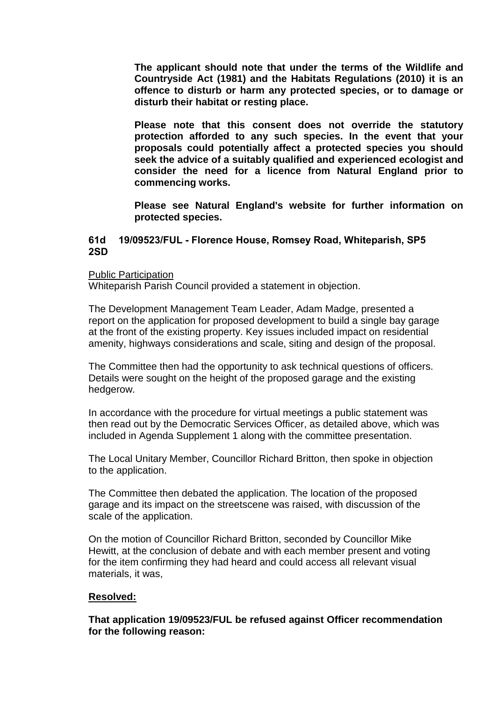**The applicant should note that under the terms of the Wildlife and Countryside Act (1981) and the Habitats Regulations (2010) it is an offence to disturb or harm any protected species, or to damage or disturb their habitat or resting place.** 

**Please note that this consent does not override the statutory protection afforded to any such species. In the event that your proposals could potentially affect a protected species you should seek the advice of a suitably qualified and experienced ecologist and consider the need for a licence from Natural England prior to commencing works.** 

**Please see Natural England's website for further information on protected species.**

### **61d 19/09523/FUL - Florence House, Romsey Road, Whiteparish, SP5 2SD**

Public Participation

Whiteparish Parish Council provided a statement in objection.

The Development Management Team Leader, Adam Madge, presented a report on the application for proposed development to build a single bay garage at the front of the existing property. Key issues included impact on residential amenity, highways considerations and scale, siting and design of the proposal.

The Committee then had the opportunity to ask technical questions of officers. Details were sought on the height of the proposed garage and the existing hedgerow.

In accordance with the procedure for virtual meetings a public statement was then read out by the Democratic Services Officer, as detailed above, which was included in Agenda Supplement 1 along with the committee presentation.

The Local Unitary Member, Councillor Richard Britton, then spoke in objection to the application.

The Committee then debated the application. The location of the proposed garage and its impact on the streetscene was raised, with discussion of the scale of the application.

On the motion of Councillor Richard Britton, seconded by Councillor Mike Hewitt, at the conclusion of debate and with each member present and voting for the item confirming they had heard and could access all relevant visual materials, it was,

#### **Resolved:**

**That application 19/09523/FUL be refused against Officer recommendation for the following reason:**